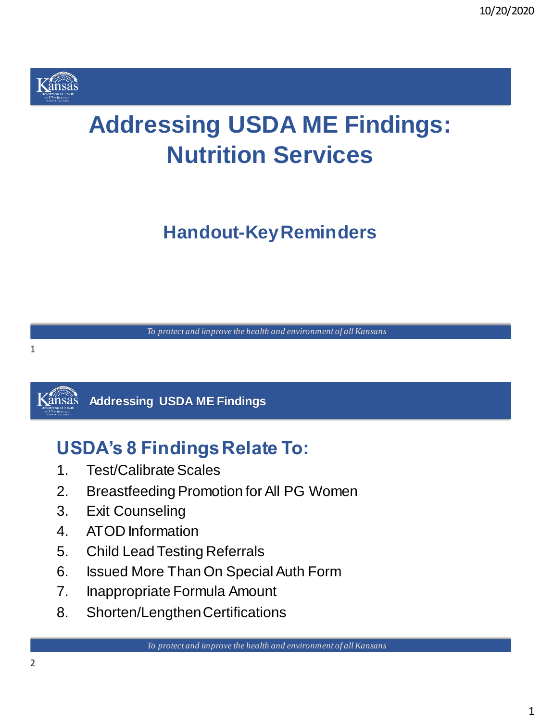

# **Addressing USDA ME Findings: Nutrition Services**

**Handout-KeyReminders**

*To protect and improve the health and environment of all Kansans*



#### **K**ansas **Addressing USDA ME Findings**

## **USDA's 8 Findings Relate To:**

- 1. Test/Calibrate Scales
- 2. Breastfeeding Promotion for All PG Women
- 3. Exit Counseling
- 4. ATOD Information
- 5. Child Lead Testing Referrals
- 6. Issued More Than On Special Auth Form
- 7. Inappropriate Formula Amount
- 8. Shorten/Lengthen Certifications